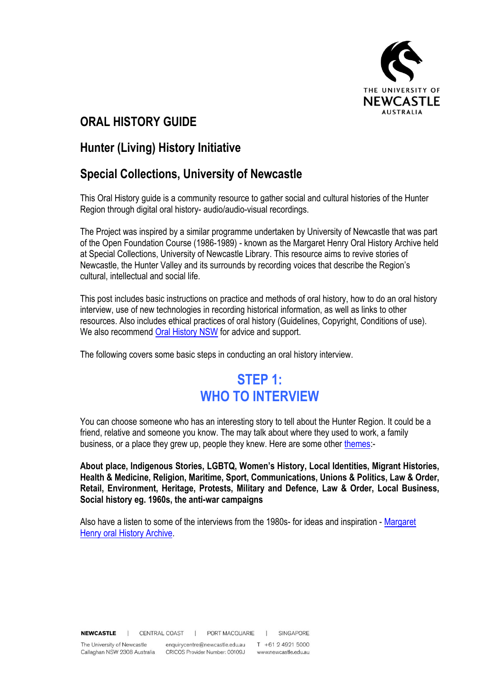

### **ORAL HISTORY GUIDE**

### **Hunter (Living) History Initiative**

### **Special Collections, University of Newcastle**

This Oral History guide is a community resource to gather social and cultural histories of the Hunter Region through digital oral history- audio/audio-visual recordings.

The Project was inspired by a similar programme undertaken by University of Newcastle that was part of the Open Foundation Course (1986-1989) - known as the Margaret Henry Oral History Archive held at Special Collections, University of Newcastle Library. This resource aims to revive stories of Newcastle, the Hunter Valley and its surrounds by recording voices that describe the Region's cultural, intellectual and social life.

This post includes basic instructions on practice and methods of oral history, how to do an oral history interview, use of new technologies in recording historical information, as well as links to other resources. Also includes ethical practices of oral history (Guidelines, Copyright, Conditions of use). We also recommend [Oral History NSW](http://www.oralhistorynsw.org.au/) for advice and support.

The following covers some basic steps in conducting an oral history interview.

# **STEP 1: WHO TO INTERVIEW**

You can choose someone who has an interesting story to tell about the Hunter Region. It could be a friend, relative and someone you know. The may talk about where they used to work, a family business, or a place they grew up, people they knew. Here are some other [themes:](https://uoncc.wordpress.com/2015/09/17/margaret-henry-oral-history-archive/)-

**About place, Indigenous Stories, LGBTQ, Women's History, Local Identities, Migrant Histories, Health & Medicine, Religion, Maritime, Sport, Communications, Unions & Politics, Law & Order, Retail, Environment, Heritage, Protests, Military and Defence, Law & Order, Local Business, Social history eg. 1960s, the anti-war campaigns**

Also have a listen to some of the interviews from the 1980s- for ideas and inspiration - [Margaret](https://uoncc.wordpress.com/2015/11/10/margaret-henry-oral-history-archive-2/)  [Henry oral History Archive.](https://uoncc.wordpress.com/2015/11/10/margaret-henry-oral-history-archive-2/)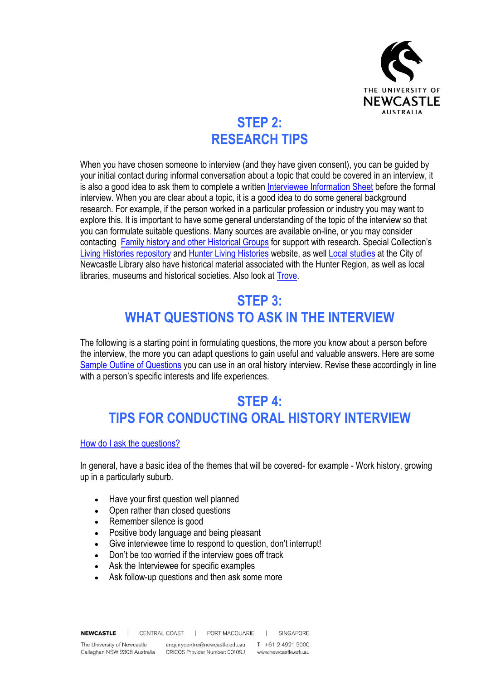

# **STEP 2: RESEARCH TIPS**

When you have chosen someone to interview (and they have given consent), you can be guided by your initial contact during informal conversation about a topic that could be covered in an interview, it is also a good idea to ask them to complete a written [Interviewee Information Sheet](https://uoncc.files.wordpress.com/2016/04/questionarie.pdf) before the formal interview. When you are clear about a topic, it is a good idea to do some general background research. For example, if the person worked in a particular profession or industry you may want to explore this. It is important to have some general understanding of the topic of the interview so that you can formulate suitable questions. Many sources are available on-line, or you may consider contacting [Family history and other Historical Groups](https://uoncc.files.wordpress.com/2016/04/list-of-historical-societies-and-groups1.pdf) for support with research. Special Collection's [Living Histories repository](https://livinghistories.newcastle.edu.au/) and [Hunter Living Histories](https://hunterlivinghistories.com/) website, as well [Local studies](http://www.newcastle.nsw.gov.au/Library/Heritage-History/Local-Studies-Library) at the City of Newcastle Library also have historical material associated with the Hunter Region, as well as local libraries, museums and historical societies. Also look at [Trove.](http://trove.nla.gov.au/)

# **STEP 3: WHAT QUESTIONS TO ASK IN THE INTERVIEW**

The following is a starting point in formulating questions, the more you know about a person before the interview, the more you can adapt questions to gain useful and valuable answers. Here are some [Sample Outline of Questions](https://uoncc.files.wordpress.com/2016/04/sample-outline-of-questions.pdf) you can use in an oral history interview. Revise these accordingly in line with a person's specific interests and life experiences.

# **STEP 4: TIPS FOR CONDUCTING ORAL HISTORY INTERVIEW**

[How do I ask the questions?](https://uoncc.files.wordpress.com/2016/04/tips-pf-condusting-oral-history-interview.pdf)

In general, have a basic idea of the themes that will be covered- for example - Work history, growing up in a particularly suburb.

- Have your first question well planned
- Open rather than closed questions
- Remember silence is good
- Positive body language and being pleasant
- Give interviewee time to respond to question, don't interrupt!
- Don't be too worried if the interview goes off track
- Ask the Interviewee for specific examples
- Ask follow-up questions and then ask some more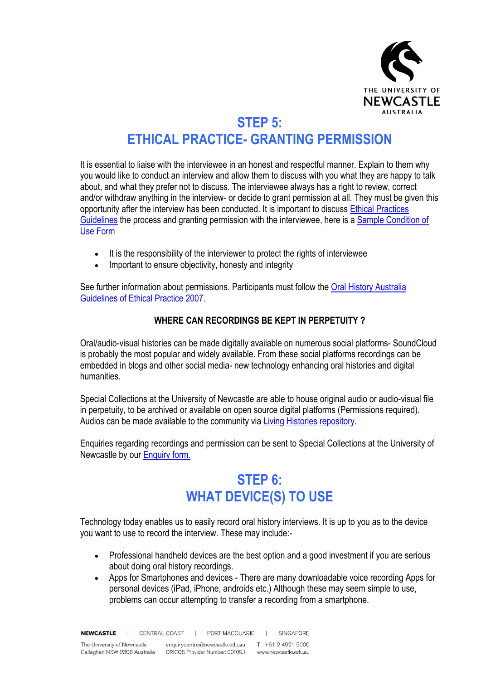

# **STEP 5: ETHICAL PRACTICE- GRANTING PERMISSION**

It is essential to liaise with the interviewee in an honest and respectful manner. Explain to them why you would like to conduct an interview and allow them to discuss with you what they are happy to talk about, and what they prefer not to discuss. The interviewee always has a right to review, correct and/or withdraw anything in the interview- or decide to grant permission at all. They must be given this opportunity after the interview has been conducted. It is important to discuss [Ethical Practices](https://uoncc.files.wordpress.com/2016/04/ethical-practice-guidelines.pdf)  [Guidelines](https://uoncc.files.wordpress.com/2016/04/ethical-practice-guidelines.pdf) the process and granting permission with the interviewee, here is a [Sample Condition of](https://uoncc.files.wordpress.com/2016/04/sample-condition-of-use-form.docx)  [Use Form](https://uoncc.files.wordpress.com/2016/04/sample-condition-of-use-form.docx)

- It is the responsibility of the interviewer to protect the rights of interviewee
- Important to ensure objectivity, honesty and integrity

See further information about permissions. Participants must follow the Oral History Australia [Guidelines of Ethical Practice 2007.](https://oralhistoryaustralia.org.au/guide-ethical-practice/)

#### **WHERE CAN RECORDINGS BE KEPT IN PERPETUITY ?**

Oral/audio-visual histories can be made digitally available on numerous social platforms- SoundCloud is probably the most popular and widely available. From these social platforms recordings can be embedded in blogs and other social media- new technology enhancing oral histories and digital humanities.

Special Collections at the University of Newcastle are able to house original audio or audio-visual file in perpetuity, to be archived or available on open source digital platforms (Permissions required). Audios can be made available to the community via [Living Histories repository.](https://livinghistories.newcastle.edu.au/pages/oralhistory)

Enquiries regarding recordings and permission can be sent to Special Collections at the University of Newcastle by our [Enquiry form.](https://uon.altarama.com/reft100.aspx?pmi=117286038717328685) 

# **STEP 6: WHAT DEVICE(S) TO USE**

Technology today enables us to easily record oral history interviews. It is up to you as to the device you want to use to record the interview. These may include:-

- Professional handheld devices are the best option and a good investment if you are serious about doing oral history recordings.
- Apps for Smartphones and devices There are many downloadable voice recording Apps for personal devices (iPad, iPhone, androids etc.) Although these may seem simple to use, problems can occur attempting to transfer a recording from a smartphone.